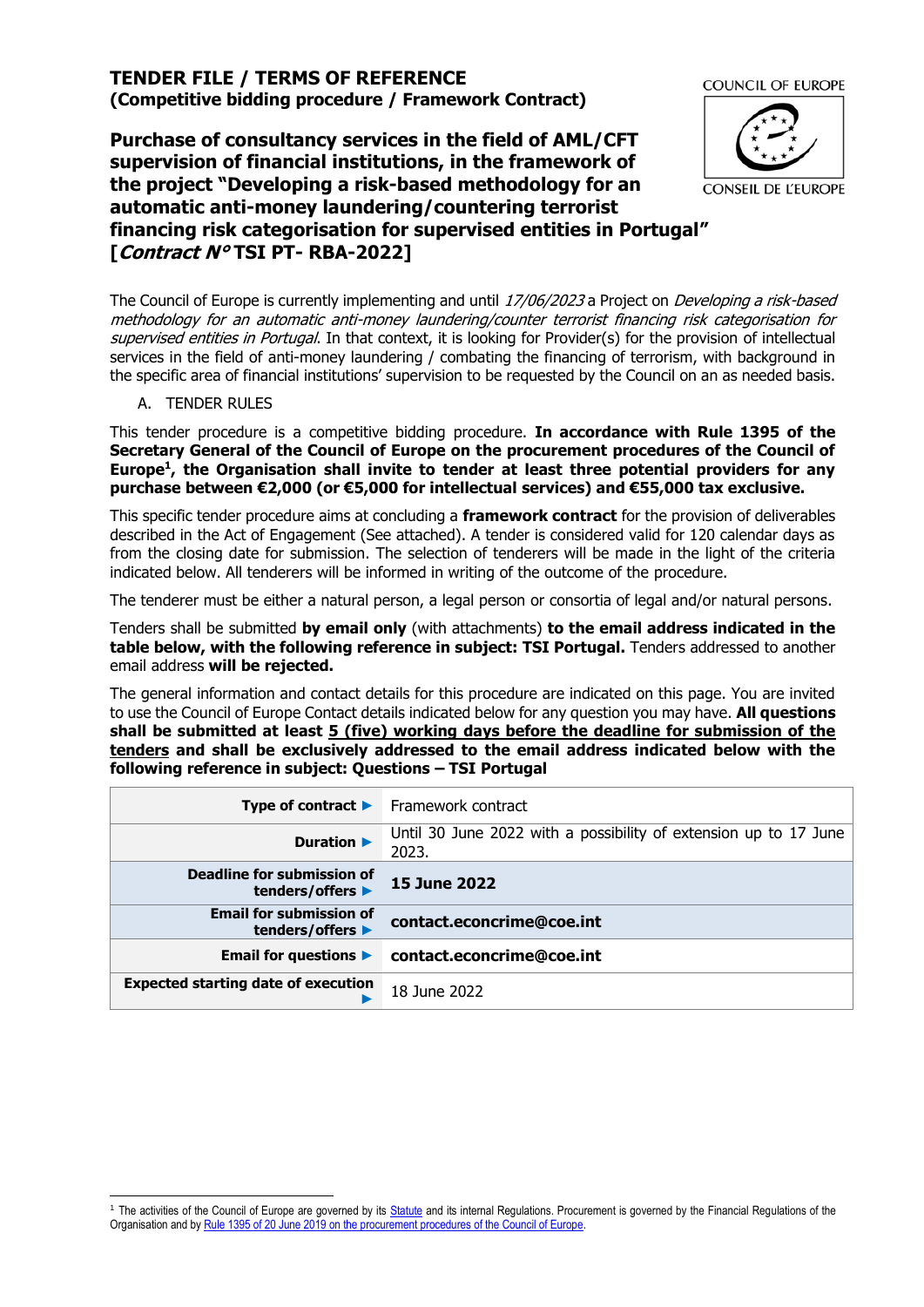# **TENDER FILE / TERMS OF REFERENCE (Competitive bidding procedure / Framework Contract)**

**Purchase of consultancy services in the field of AML/CFT supervision of financial institutions, in the framework of the project "Developing a risk-based methodology for an automatic anti-money laundering/countering terrorist financing risk categorisation for supervised entities in Portugal" [Contract N° TSI PT- RBA-2022]**



The Council of Europe is currently implementing and until 17/06/2023 a Project on *Developing a risk-based* methodology for an automatic anti-money laundering/counter terrorist financing risk categorisation for supervised entities in Portugal. In that context, it is looking for Provider(s) for the provision of intellectual services in the field of anti-money laundering / combating the financing of terrorism, with background in the specific area of financial institutions' supervision to be requested by the Council on an as needed basis.

## A. TENDER RULES

This tender procedure is a competitive bidding procedure. **In accordance with Rule 1395 of the Secretary General of the Council of Europe on the procurement procedures of the Council of Europe<sup>1</sup> , the Organisation shall invite to tender at least three potential providers for any purchase between €2,000 (or €5,000 for intellectual services) and €55,000 tax exclusive.**

This specific tender procedure aims at concluding a **framework contract** for the provision of deliverables described in the Act of Engagement (See attached). A tender is considered valid for 120 calendar days as from the closing date for submission. The selection of tenderers will be made in the light of the criteria indicated below. All tenderers will be informed in writing of the outcome of the procedure.

The tenderer must be either a natural person, a legal person or consortia of legal and/or natural persons.

Tenders shall be submitted **by email only** (with attachments) **to the email address indicated in the table below, with the following reference in subject: TSI Portugal.** Tenders addressed to another email address **will be rejected.**

The general information and contact details for this procedure are indicated on this page. You are invited to use the Council of Europe Contact details indicated below for any question you may have. **All questions shall be submitted at least 5 (five) working days before the deadline for submission of the tenders and shall be exclusively addressed to the email address indicated below with the following reference in subject: Questions – TSI Portugal**

| Type of contract $\blacktriangleright$             | Framework contract                                                        |
|----------------------------------------------------|---------------------------------------------------------------------------|
| Duration $\blacktriangleright$                     | Until 30 June 2022 with a possibility of extension up to 17 June<br>2023. |
| Deadline for submission of<br>tenders/offers ▶     | <b>15 June 2022</b>                                                       |
| <b>Email for submission of</b><br>tenders/offers ▶ | contact.econcrime@coe.int                                                 |
| Email for questions $\blacktriangleright$          | contact.econcrime@coe.int                                                 |
| <b>Expected starting date of execution</b>         | 18 June 2022                                                              |

<sup>&</sup>lt;sup>1</sup> The activities of the Council of Europe are governed by it[s Statute](https://rm.coe.int/CoERMPublicCommonSearchServices/DisplayDCTMContent?documentId=0900001680306052) and its internal Regulations. Procurement is governed by the Financial Regulations of the Organisation and by Rule 1395 of 20 June 2019 [on the procurement procedures of the Council of Europe.](https://search.coe.int/intranet/Pages/result_details.aspx?ObjectId=090000168094853e)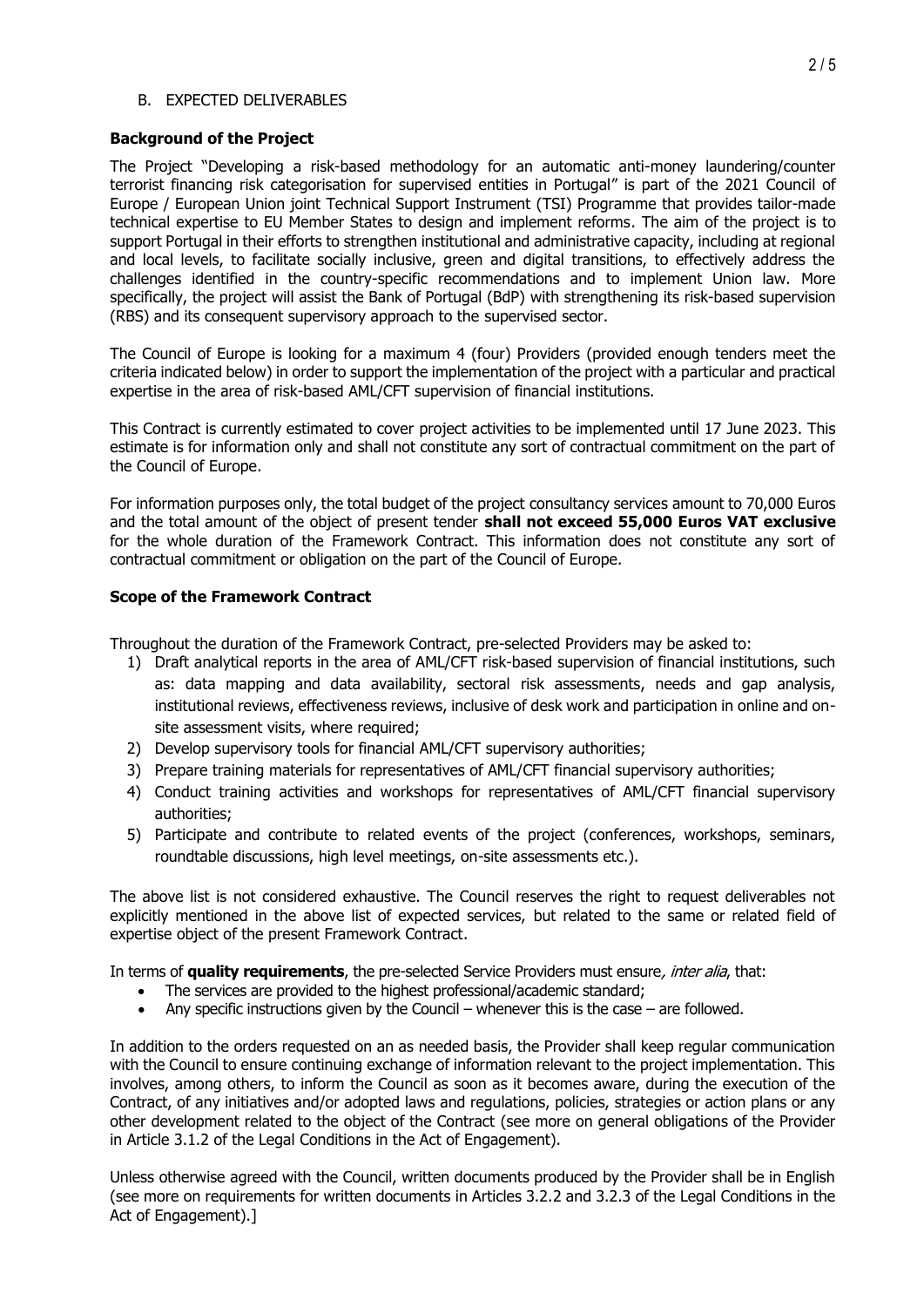#### B. EXPECTED DELIVERABLES

#### **Background of the Project**

The Project "Developing a risk-based methodology for an automatic anti-money laundering/counter terrorist financing risk categorisation for supervised entities in Portugal" is part of the 2021 Council of Europe / European Union joint Technical Support Instrument (TSI) Programme that provides tailor-made technical expertise to EU Member States to design and implement reforms. The aim of the project is to support Portugal in their efforts to strengthen institutional and administrative capacity, including at regional and local levels, to facilitate socially inclusive, green and digital transitions, to effectively address the challenges identified in the country-specific recommendations and to implement Union law. More specifically, the project will assist the Bank of Portugal (BdP) with strengthening its risk-based supervision (RBS) and its consequent supervisory approach to the supervised sector.

The Council of Europe is looking for a maximum 4 (four) Providers (provided enough tenders meet the criteria indicated below) in order to support the implementation of the project with a particular and practical expertise in the area of risk-based AML/CFT supervision of financial institutions.

This Contract is currently estimated to cover project activities to be implemented until 17 June 2023. This estimate is for information only and shall not constitute any sort of contractual commitment on the part of the Council of Europe.

For information purposes only, the total budget of the project consultancy services amount to 70,000 Euros and the total amount of the object of present tender **shall not exceed 55,000 Euros VAT exclusive** for the whole duration of the Framework Contract. This information does not constitute any sort of contractual commitment or obligation on the part of the Council of Europe.

## **Scope of the Framework Contract**

Throughout the duration of the Framework Contract, pre-selected Providers may be asked to:

- 1) Draft analytical reports in the area of AML/CFT risk-based supervision of financial institutions, such as: data mapping and data availability, sectoral risk assessments, needs and gap analysis, institutional reviews, effectiveness reviews, inclusive of desk work and participation in online and onsite assessment visits, where required;
- 2) Develop supervisory tools for financial AML/CFT supervisory authorities;
- 3) Prepare training materials for representatives of AML/CFT financial supervisory authorities;
- 4) Conduct training activities and workshops for representatives of AML/CFT financial supervisory authorities;
- 5) Participate and contribute to related events of the project (conferences, workshops, seminars, roundtable discussions, high level meetings, on-site assessments etc.).

The above list is not considered exhaustive. The Council reserves the right to request deliverables not explicitly mentioned in the above list of expected services, but related to the same or related field of expertise object of the present Framework Contract.

In terms of **quality requirements**, the pre-selected Service Providers must ensure, inter alia, that:

- The services are provided to the highest professional/academic standard;
- Any specific instructions given by the Council whenever this is the case are followed.

In addition to the orders requested on an as needed basis, the Provider shall keep regular communication with the Council to ensure continuing exchange of information relevant to the project implementation. This involves, among others, to inform the Council as soon as it becomes aware, during the execution of the Contract, of any initiatives and/or adopted laws and regulations, policies, strategies or action plans or any other development related to the object of the Contract (see more on general obligations of the Provider in Article 3.1.2 of the Legal Conditions in the Act of Engagement).

Unless otherwise agreed with the Council, written documents produced by the Provider shall be in English (see more on requirements for written documents in Articles 3.2.2 and 3.2.3 of the Legal Conditions in the Act of Engagement).]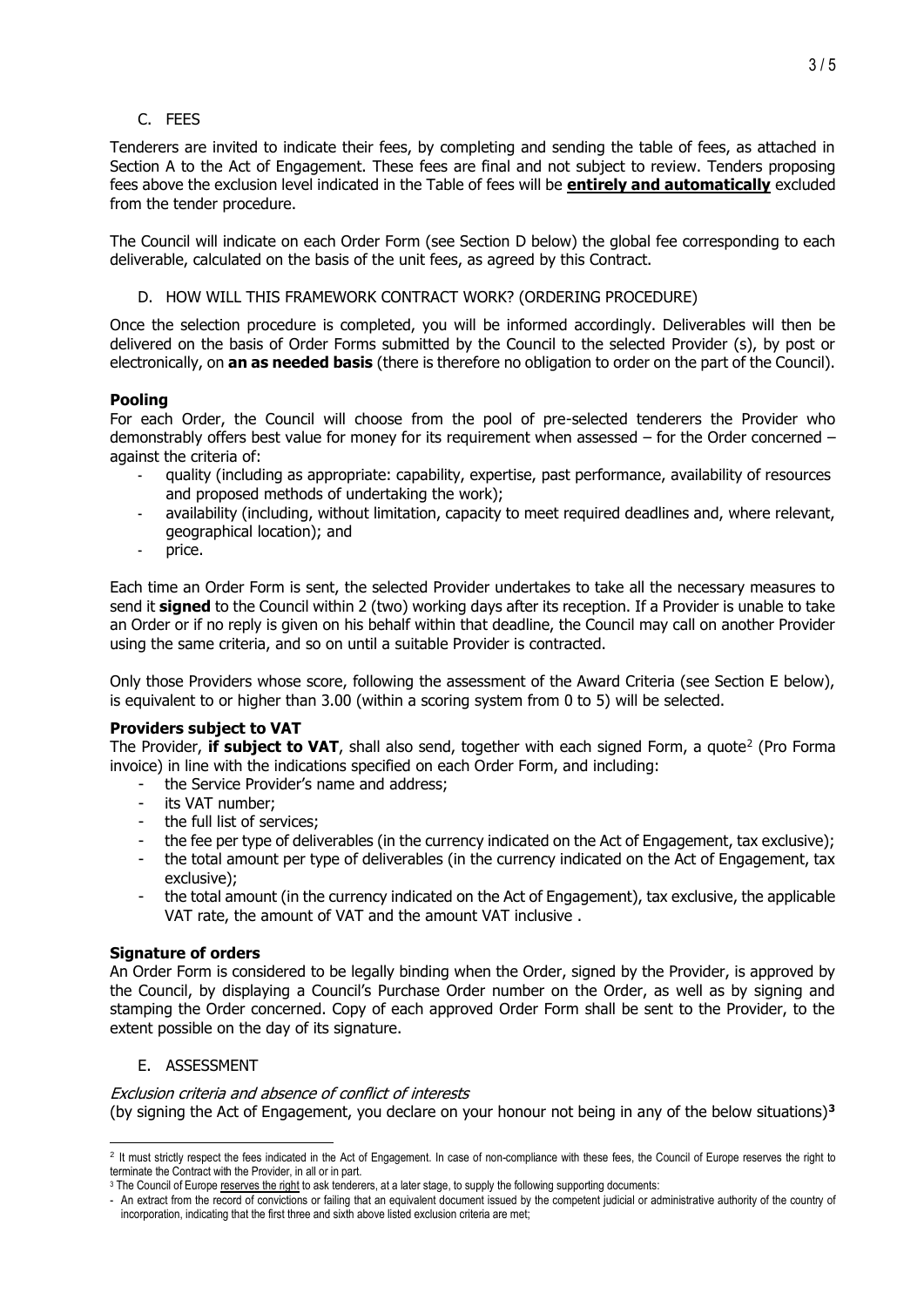# C. FEES

Tenderers are invited to indicate their fees, by completing and sending the table of fees, as attached in Section A to the Act of Engagement. These fees are final and not subject to review. Tenders proposing fees above the exclusion level indicated in the Table of fees will be **entirely and automatically** excluded from the tender procedure.

The Council will indicate on each Order Form (see Section [D](#page-2-0) below) the global fee corresponding to each deliverable, calculated on the basis of the unit fees, as agreed by this Contract.

D. HOW WILL THIS FRAMEWORK CONTRACT WORK? (ORDERING PROCEDURE)

<span id="page-2-0"></span>Once the selection procedure is completed, you will be informed accordingly. Deliverables will then be delivered on the basis of Order Forms submitted by the Council to the selected Provider (s), by post or electronically, on **an as needed basis** (there is therefore no obligation to order on the part of the Council).

# **Pooling**

For each Order, the Council will choose from the pool of pre-selected tenderers the Provider who demonstrably offers best value for money for its requirement when assessed – for the Order concerned – against the criteria of:

- quality (including as appropriate: capability, expertise, past performance, availability of resources and proposed methods of undertaking the work);
- availability (including, without limitation, capacity to meet required deadlines and, where relevant, geographical location); and
- price.

Each time an Order Form is sent, the selected Provider undertakes to take all the necessary measures to send it **signed** to the Council within 2 (two) working days after its reception. If a Provider is unable to take an Order or if no reply is given on his behalf within that deadline, the Council may call on another Provider using the same criteria, and so on until a suitable Provider is contracted.

Only those Providers whose score, following the assessment of the Award Criteria (see Section E below), is equivalent to or higher than 3.00 (within a scoring system from 0 to 5) will be selected.

# **Providers subject to VAT**

The Provider, **if subject to VAT**, shall also send, together with each signed Form, a quote<sup>2</sup> (Pro Forma invoice) in line with the indications specified on each Order Form, and including:

- the Service Provider's name and address;
- its VAT number;
- the full list of services;
- the fee per type of deliverables (in the currency indicated on the Act of Engagement, tax exclusive);
- the total amount per type of deliverables (in the currency indicated on the Act of Engagement, tax exclusive);
- the total amount (in the currency indicated on the Act of Engagement), tax exclusive, the applicable VAT rate, the amount of VAT and the amount VAT inclusive .

## **Signature of orders**

An Order Form is considered to be legally binding when the Order, signed by the Provider, is approved by the Council, by displaying a Council's Purchase Order number on the Order, as well as by signing and stamping the Order concerned. Copy of each approved Order Form shall be sent to the Provider, to the extent possible on the day of its signature.

# E. ASSESSMENT

Exclusion criteria and absence of conflict of interests (by signing the Act of Engagement, you declare on your honour not being in any of the below situations)**<sup>3</sup>**

<sup>&</sup>lt;sup>2</sup> It must strictly respect the fees indicated in the Act of Engagement. In case of non-compliance with these fees, the Council of Europe reserves the right to terminate the Contract with the Provider, in all or in part.

<sup>&</sup>lt;sup>3</sup> The Council of Europe reserves the right to ask tenderers, at a later stage, to supply the following supporting documents:

<sup>-</sup> An extract from the record of convictions or failing that an equivalent document issued by the competent judicial or administrative authority of the country of incorporation, indicating that the first three and sixth above listed exclusion criteria are met;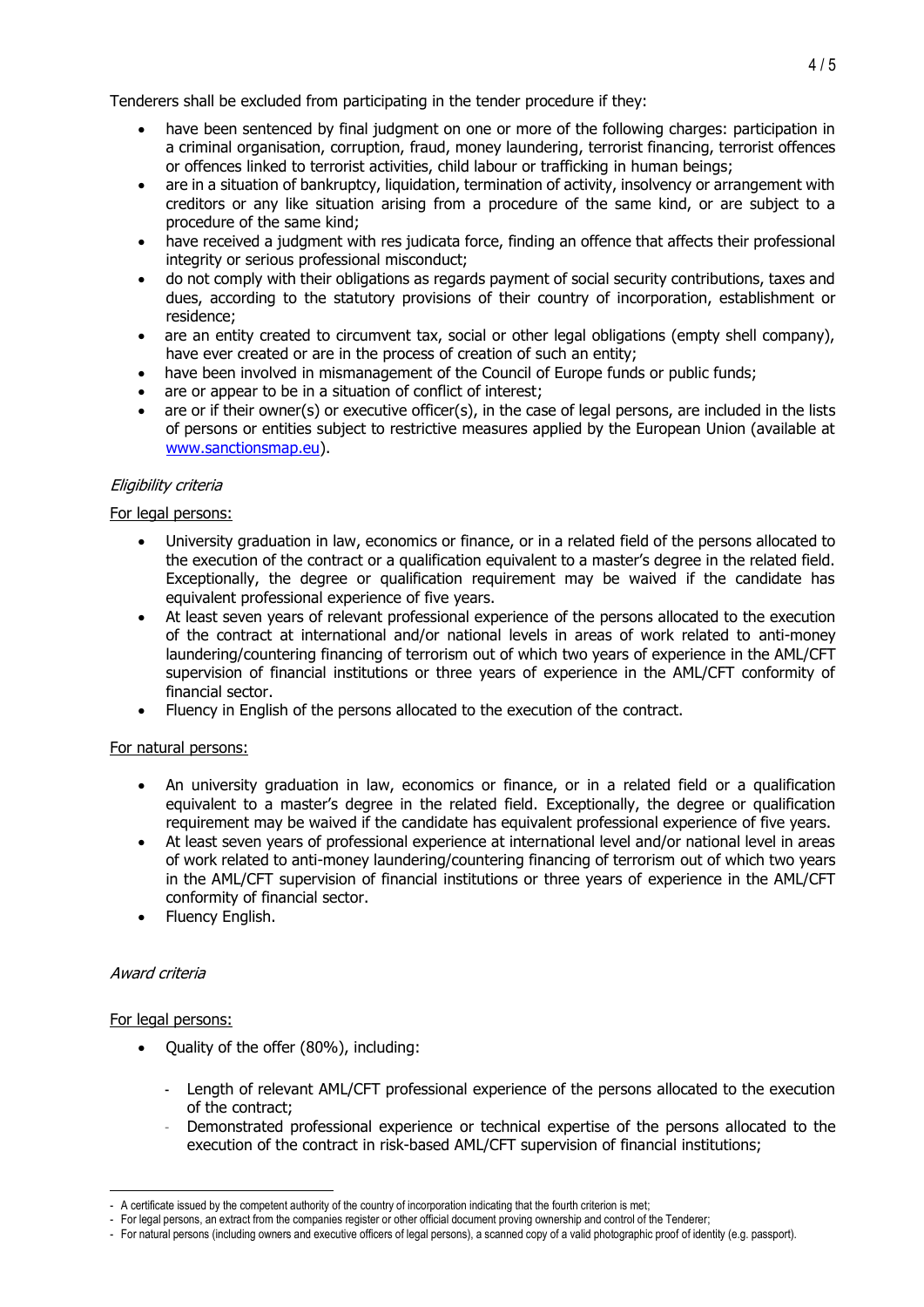Tenderers shall be excluded from participating in the tender procedure if they:

- have been sentenced by final judgment on one or more of the following charges: participation in a criminal organisation, corruption, fraud, money laundering, terrorist financing, terrorist offences or offences linked to terrorist activities, child labour or trafficking in human beings;
- are in a situation of bankruptcy, liquidation, termination of activity, insolvency or arrangement with creditors or any like situation arising from a procedure of the same kind, or are subject to a procedure of the same kind;
- have received a judgment with res judicata force, finding an offence that affects their professional integrity or serious professional misconduct;
- do not comply with their obligations as regards payment of social security contributions, taxes and dues, according to the statutory provisions of their country of incorporation, establishment or residence;
- are an entity created to circumvent tax, social or other legal obligations (empty shell company), have ever created or are in the process of creation of such an entity;
- have been involved in mismanagement of the Council of Europe funds or public funds;
- are or appear to be in a situation of conflict of interest;
- are or if their owner(s) or executive officer(s), in the case of legal persons, are included in the lists of persons or entities subject to restrictive measures applied by the European Union (available at [www.sanctionsmap.eu\)](http://www.sanctionsmap.eu/).

# Eligibility criteria

# For legal persons:

- University graduation in law, economics or finance, or in a related field of the persons allocated to the execution of the contract or a qualification equivalent to a master's degree in the related field. Exceptionally, the degree or qualification requirement may be waived if the candidate has equivalent professional experience of five years.
- At least seven years of relevant professional experience of the persons allocated to the execution of the contract at international and/or national levels in areas of work related to anti-money laundering/countering financing of terrorism out of which two years of experience in the AML/CFT supervision of financial institutions or three years of experience in the AML/CFT conformity of financial sector.
- Fluency in English of the persons allocated to the execution of the contract.

## For natural persons:

- An university graduation in law, economics or finance, or in a related field or a qualification equivalent to a master's degree in the related field. Exceptionally, the degree or qualification requirement may be waived if the candidate has equivalent professional experience of five years.
- At least seven years of professional experience at international level and/or national level in areas of work related to anti-money laundering/countering financing of terrorism out of which two years in the AML/CFT supervision of financial institutions or three years of experience in the AML/CFT conformity of financial sector.
- Fluency English.

## Award criteria

## For legal persons:

- Quality of the offer (80%), including:
	- Length of relevant AML/CFT professional experience of the persons allocated to the execution of the contract;
	- Demonstrated professional experience or technical expertise of the persons allocated to the execution of the contract in risk-based AML/CFT supervision of financial institutions;

<sup>-</sup> A certificate issued by the competent authority of the country of incorporation indicating that the fourth criterion is met;

<sup>-</sup> For legal persons, an extract from the companies register or other official document proving ownership and control of the Tenderer;

<sup>-</sup> For natural persons (including owners and executive officers of legal persons), a scanned copy of a valid photographic proof of identity (e.g. passport).